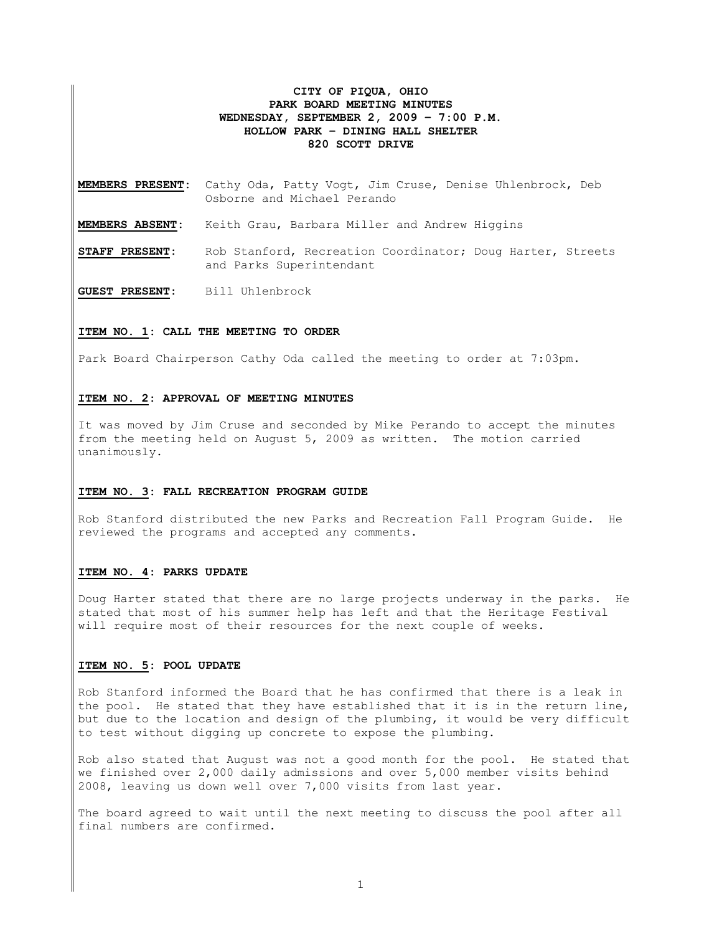# **CITY OF PIQUA, OHIO PARK BOARD MEETING MINUTES WEDNESDAY, SEPTEMBER 2, 2009 – 7:00 P.M. HOLLOW PARK – DINING HALL SHELTER 820 SCOTT DRIVE**

**MEMBERS PRESENT:** Cathy Oda, Patty Vogt, Jim Cruse, Denise Uhlenbrock, Deb Osborne and Michael Perando

**MEMBERS ABSENT:** Keith Grau, Barbara Miller and Andrew Higgins

**STAFF PRESENT:** Rob Stanford, Recreation Coordinator; Doug Harter, Streets and Parks Superintendant

**GUEST PRESENT:** Bill Uhlenbrock

# **ITEM NO. 1: CALL THE MEETING TO ORDER**

Park Board Chairperson Cathy Oda called the meeting to order at 7:03pm.

### **ITEM NO. 2: APPROVAL OF MEETING MINUTES**

It was moved by Jim Cruse and seconded by Mike Perando to accept the minutes from the meeting held on August 5, 2009 as written. The motion carried unanimously.

### **ITEM NO. 3: FALL RECREATION PROGRAM GUIDE**

Rob Stanford distributed the new Parks and Recreation Fall Program Guide. He reviewed the programs and accepted any comments.

## **ITEM NO. 4: PARKS UPDATE**

Doug Harter stated that there are no large projects underway in the parks. He stated that most of his summer help has left and that the Heritage Festival will require most of their resources for the next couple of weeks.

### **ITEM NO. 5: POOL UPDATE**

Rob Stanford informed the Board that he has confirmed that there is a leak in the pool. He stated that they have established that it is in the return line, but due to the location and design of the plumbing, it would be very difficult to test without digging up concrete to expose the plumbing.

Rob also stated that August was not a good month for the pool. He stated that we finished over 2,000 daily admissions and over 5,000 member visits behind 2008, leaving us down well over 7,000 visits from last year.

The board agreed to wait until the next meeting to discuss the pool after all final numbers are confirmed.